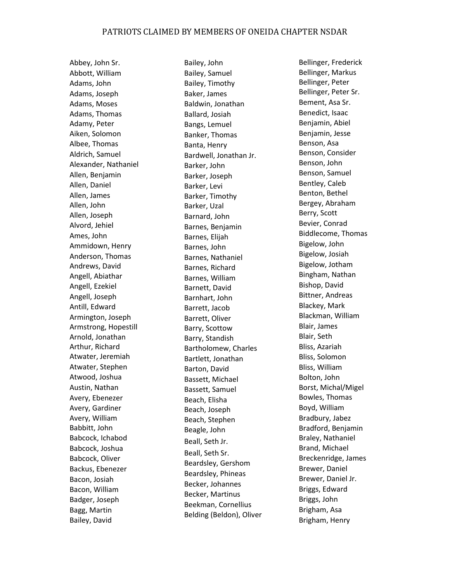Abbey, John Sr. Abbott, William Adams, John Adams, Joseph Adams, Moses Adams, Thomas Adamy, Peter Aiken, Solomon Albee, Thomas Aldrich, Samuel Alexander, Nathaniel Allen, Benjamin Allen, Daniel Allen, James Allen, John Allen, Joseph Alvord, Jehiel Ames, John Ammidown, Henry Anderson, Thomas Andrews, David Angell, Abiathar Angell, Ezekiel Angell, Joseph Antill, Edward Armington, Joseph Armstrong, Hopestill Arnold, Jonathan Arthur, Richard Atwater, Jeremiah Atwater, Stephen Atwood, Joshua Austin, Nathan Avery, Ebenezer Avery, Gardiner Avery, William Babbitt, John Babcock, Ichabod Babcock, Joshua Babcock, Oliver Backus, Ebenezer Bacon, Josiah Bacon, William Badger, Joseph Bagg, Martin Bailey, David

Bailey, John Bailey, Samuel Bailey, Timothy Baker, James Baldwin, Jonathan Ballard, Josiah Bangs, Lemuel Banker, Thomas Banta, Henry Bardwell, Jonathan Jr. Barker, John Barker, Joseph Barker, Levi Barker, Timothy Barker, Uzal Barnard, John Barnes, Benjamin Barnes, Elijah Barnes, John Barnes, Nathaniel Barnes, Richard Barnes, William Barnett, David Barnhart, John Barrett, Jacob Barrett, Oliver Barry, Scottow Barry, Standish Bartholomew, Charles Bartlett, Jonathan Barton, David Bassett, Michael Bassett, Samuel Beach, Elisha Beach, Joseph Beach, Stephen Beagle, John Beall, Seth Jr. Beall, Seth Sr. Beardsley, Gershom Beardsley, Phineas Becker, Johannes Becker, Martinus Beekman, Cornellius Belding (Beldon), Oliver

Bellinger, Frederick Bellinger, Markus Bellinger, Peter Bellinger, Peter Sr. Bement, Asa Sr. Benedict, Isaac Benjamin, Abiel Benjamin, Jesse Benson, Asa Benson, Consider Benson, John Benson, Samuel Bentley, Caleb Benton, Bethel Bergey, Abraham Berry, Scott Bevier, Conrad Biddlecome, Thomas Bigelow, John Bigelow, Josiah Bigelow, Jotham Bingham, Nathan Bishop, David Bittner, Andreas Blackey, Mark Blackman, William Blair, James Blair, Seth Bliss, Azariah Bliss, Solomon Bliss, William Bolton, John Borst, Michal/Migel Bowles, Thomas Boyd, William Bradbury, Jabez Bradford, Benjamin Braley, Nathaniel Brand, Michael Breckenridge, James Brewer, Daniel Brewer, Daniel Jr. Briggs, Edward Briggs, John Brigham, Asa Brigham, Henry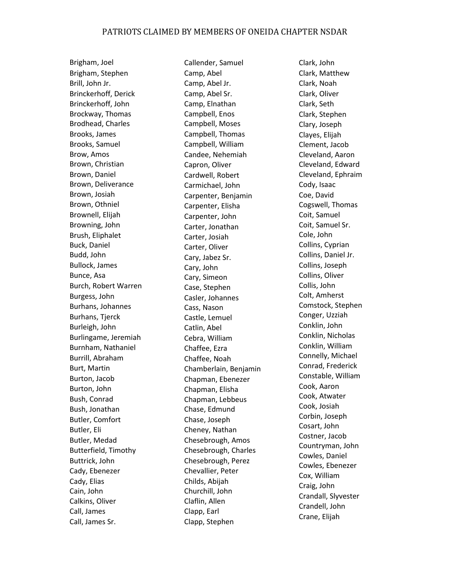Brigham, Joel Brigham, Stephen Brill, John Jr. Brinckerhoff, Derick Brinckerhoff, John Brockway, Thomas Brodhead, Charles Brooks, James Brooks, Samuel Brow, Amos Brown, Christian Brown, Daniel Brown, Deliverance Brown, Josiah Brown, Othniel Brownell, Elijah Browning, John Brush, Eliphalet Buck, Daniel Budd, John Bullock, James Bunce, Asa Burch, Robert Warren Burgess, John Burhans, Johannes Burhans, Tjerck Burleigh, John Burlingame, Jeremiah Burnham, Nathaniel Burrill, Abraham Burt, Martin Burton, Jacob Burton, John Bush, Conrad Bush, Jonathan Butler, Comfort Butler, Eli Butler, Medad Butterfield, Timothy Buttrick, John Cady, Ebenezer Cady, Elias Cain, John Calkins, Oliver Call, James Call, James Sr.

Callender, Samuel Camp, Abel Camp, Abel Jr. Camp, Abel Sr. Camp, Elnathan Campbell, Enos Campbell, Moses Campbell, Thomas Campbell, William Candee, Nehemiah Capron, Oliver Cardwell, Robert Carmichael, John Carpenter, Benjamin Carpenter, Elisha Carpenter, John Carter, Jonathan Carter, Josiah Carter, Oliver Cary, Jabez Sr. Cary, John Cary, Simeon Case, Stephen Casler, Johannes Cass, Nason Castle, Lemuel Catlin, Abel Cebra, William Chaffee, Ezra Chaffee, Noah Chamberlain, Benjamin Chapman, Ebenezer Chapman, Elisha Chapman, Lebbeus Chase, Edmund Chase, Joseph Cheney, Nathan Chesebrough, Amos Chesebrough, Charles Chesebrough, Perez Chevallier, Peter Childs, Abijah Churchill, John Claflin, Allen Clapp, Earl Clapp, Stephen

Clark, John Clark, Matthew Clark, Noah Clark, Oliver Clark, Seth Clark, Stephen Clary, Joseph Clayes, Elijah Clement, Jacob Cleveland, Aaron Cleveland, Edward Cleveland, Ephraim Cody, Isaac Coe, David Cogswell, Thomas Coit, Samuel Coit, Samuel Sr. Cole, John Collins, Cyprian Collins, Daniel Jr. Collins, Joseph Collins, Oliver Collis, John Colt, Amherst Comstock, Stephen Conger, Uzziah Conklin, John Conklin, Nicholas Conklin, William Connelly, Michael Conrad, Frederick Constable, William Cook, Aaron Cook, Atwater Cook, Josiah Corbin, Joseph Cosart, John Costner, Jacob Countryman, John Cowles, Daniel Cowles, Ebenezer Cox, William Craig, John Crandall, Slyvester Crandell, John Crane, Elijah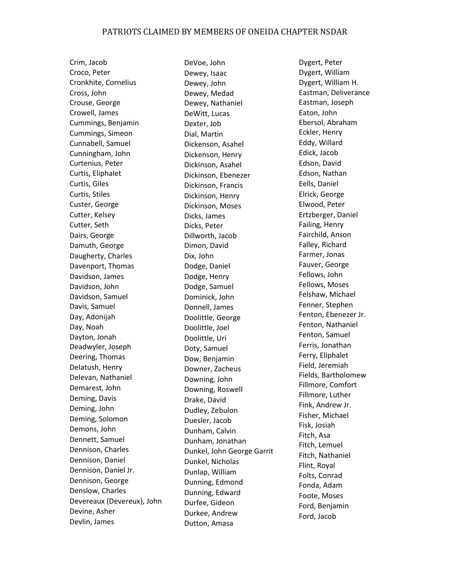Crim, Jacob Croco, Peter Cronkhite, Cornelius Cross, John Crouse, George Crowell, James Cummings, Benjamin Cummings, Simeon Cunnabell, Samuel Cunningham, John Curtenius, Peter Curtis, Eliphalet Curtis, Giles Curtis, Stiles Custer, George Cutter, Kelsey Cutter, Seth Dairs, George Damuth, George Daugherty, Charles Davenport, Thomas Davidson, James Davidson, John Davidson, Samuel Davis, Samuel Day, Adonijah Day, Noah Dayton, Jonah Deadwyler, Joseph Deering, Thomas Delatush, Henry Delevan, Nathaniel Demarest, John Deming, Davis Deming, John Deming, Solomon Demons, John Dennett, Samuel Dennison, Charles Dennison, Daniel Dennison, Daniel Jr. Dennison, George Denslow, Charles Devereaux (Devereux), John Devine, Asher Devlin, James

DeVoe, John Dewey, Isaac Dewey, John Dewey, Medad Dewey, Nathaniel DeWitt, Lucas Dexter, Job Dial, Martin Dickenson, Asahel Dickenson, Henry Dickinson, Asahel Dickinson, Ebenezer Dickinson, Francis Dickinson, Henry Dickinson, Moses Dicks, James Dicks, Peter Dillworth, Jacob Dimon, David Dix, John Dodge, Daniel Dodge, Henry Dodge, Samuel Dominick, John Donnell, James Doolittle, George Doolittle, Joel Doolittle, Uri Doty, Samuel Dow, Benjamin Downer, Zacheus Downing, John Downing, Roswell Drake, David Dudley, Zebulon Duesler, Jacob Dunham, Calvin Dunham, Jonathan Dunkel, John George Garrit Dunkel, Nicholas Dunlap, William Dunning, Edmond Dunning, Edward Durfee, Gideon Durkee, Andrew Dutton, Amasa

Dygert, Peter Dygert, William Dygert, William H. Eastman, Deliverance Eastman, Joseph Eaton, John Ebersol, Abraham Eckler, Henry Eddy, Willard Edick, Jacob Edson, David Edson, Nathan Eells, Daniel Elrick, George Elwood, Peter Ertzberger, Daniel Failing, Henry Fairchild, Anson Falley, Richard Farmer, Jonas Fauver, George Fellows, John Fellows, Moses Felshaw, Michael Fenner, Stephen Fenton, Ebenezer Jr. Fenton, Nathaniel Fenton, Samuel Ferris, Jonathan Ferry, Eliphalet Field, Jeremiah Fields, Bartholomew Fillmore, Comfort Fillmore, Luther Fink, Andrew Jr. Fisher, Michael Fisk, Josiah Fitch, Asa Fitch, Lemuel Fitch, Nathaniel Flint, Royal Folts, Conrad Fonda, Adam Foote, Moses Ford, Benjamin Ford, Jacob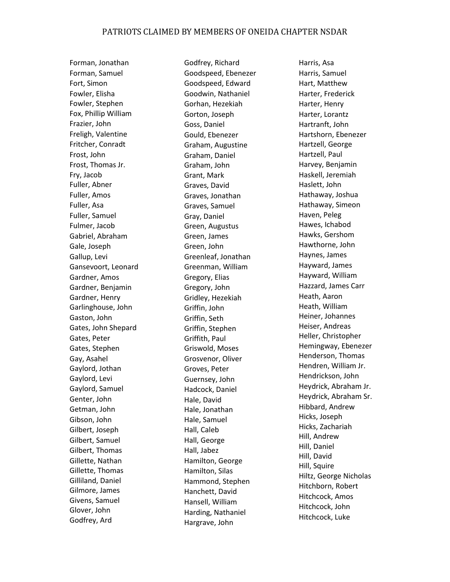Forman, Jonathan Forman, Samuel Fort, Simon Fowler, Elisha Fowler, Stephen Fox, Phillip William Frazier, John Freligh, Valentine Fritcher, Conradt Frost, John Frost, Thomas Jr. Fry, Jacob Fuller, Abner Fuller, Amos Fuller, Asa Fuller, Samuel Fulmer, Jacob Gabriel, Abraham Gale, Joseph Gallup, Levi Gansevoort, Leonard Gardner, Amos Gardner, Benjamin Gardner, Henry Garlinghouse, John Gaston, John Gates, John Shepard Gates, Peter Gates, Stephen Gay, Asahel Gaylord, Jothan Gaylord, Levi Gaylord, Samuel Genter, John Getman, John Gibson, John Gilbert, Joseph Gilbert, Samuel Gilbert, Thomas Gillette, Nathan Gillette, Thomas Gilliland, Daniel Gilmore, James Givens, Samuel Glover, John Godfrey, Ard

Godfrey, Richard Goodspeed, Ebenezer Goodspeed, Edward Goodwin, Nathaniel Gorhan, Hezekiah Gorton, Joseph Goss, Daniel Gould, Ebenezer Graham, Augustine Graham, Daniel Graham, John Grant, Mark Graves, David Graves, Jonathan Graves, Samuel Gray, Daniel Green, Augustus Green, James Green, John Greenleaf, Jonathan Greenman, William Gregory, Elias Gregory, John Gridley, Hezekiah Griffin, John Griffin, Seth Griffin, Stephen Griffith, Paul Griswold, Moses Grosvenor, Oliver Groves, Peter Guernsey, John Hadcock, Daniel Hale, David Hale, Jonathan Hale, Samuel Hall, Caleb Hall, George Hall, Jabez Hamilton, George Hamilton, Silas Hammond, Stephen Hanchett, David Hansell, William Harding, Nathaniel Hargrave, John

Harris, Asa Harris, Samuel Hart, Matthew Harter, Frederick Harter, Henry Harter, Lorantz Hartranft, John Hartshorn, Ebenezer Hartzell, George Hartzell, Paul Harvey, Benjamin Haskell, Jeremiah Haslett, John Hathaway, Joshua Hathaway, Simeon Haven, Peleg Hawes, Ichabod Hawks, Gershom Hawthorne, John Haynes, James Hayward, James Hayward, William Hazzard, James Carr Heath, Aaron Heath, William Heiner, Johannes Heiser, Andreas Heller, Christopher Hemingway, Ebenezer Henderson, Thomas Hendren, William Jr. Hendrickson, John Heydrick, Abraham Jr. Heydrick, Abraham Sr. Hibbard, Andrew Hicks, Joseph Hicks, Zachariah Hill, Andrew Hill, Daniel Hill, David Hill, Squire Hiltz, George Nicholas Hitchborn, Robert Hitchcock, Amos Hitchcock, John Hitchcock, Luke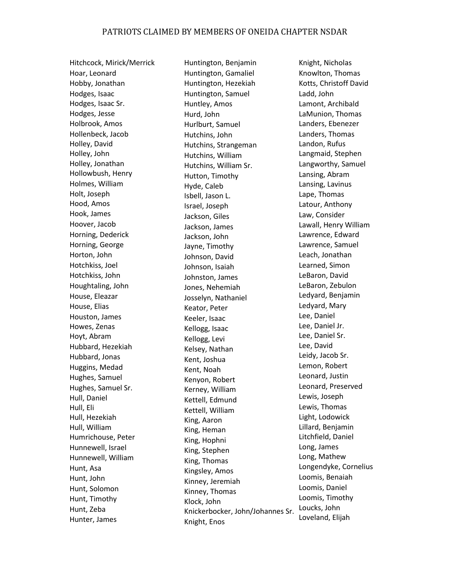Hitchcock, Mirick/Merrick Hoar, Leonard Hobby, Jonathan Hodges, Isaac Hodges, Isaac Sr. Hodges, Jesse Holbrook, Amos Hollenbeck, Jacob Holley, David Holley, John Holley, Jonathan Hollowbush, Henry Holmes, William Holt, Joseph Hood, Amos Hook, James Hoover, Jacob Horning, Dederick Horning, George Horton, John Hotchkiss, Joel Hotchkiss, John Houghtaling, John House, Eleazar House, Elias Houston, James Howes, Zenas Hoyt, Abram Hubbard, Hezekiah Hubbard, Jonas Huggins, Medad Hughes, Samuel Hughes, Samuel Sr. Hull, Daniel Hull, Eli Hull, Hezekiah Hull, William Humrichouse, Peter Hunnewell, Israel Hunnewell, William Hunt, Asa Hunt, John Hunt, Solomon Hunt, Timothy Hunt, Zeba Hunter, James

Huntington, Benjamin Huntington, Gamaliel Huntington, Hezekiah Huntington, Samuel Huntley, Amos Hurd, John Hurlburt, Samuel Hutchins, John Hutchins, Strangeman Hutchins, William Hutchins, William Sr. Hutton, Timothy Hyde, Caleb Isbell, Jason L. Israel, Joseph Jackson, Giles Jackson, James Jackson, John Jayne, Timothy Johnson, David Johnson, Isaiah Johnston, James Jones, Nehemiah Josselyn, Nathaniel Keator, Peter Keeler, Isaac Kellogg, Isaac Kellogg, Levi Kelsey, Nathan Kent, Joshua Kent, Noah Kenyon, Robert Kerney, William Kettell, Edmund Kettell, William King, Aaron King, Heman King, Hophni King, Stephen King, Thomas Kingsley, Amos Kinney, Jeremiah Kinney, Thomas Klock, John Knickerbocker, John/Johannes Sr. Knight, Enos

Knight, Nicholas Knowlton, Thomas Kotts, Christoff David Ladd, John Lamont, Archibald LaMunion, Thomas Landers, Ebenezer Landers, Thomas Landon, Rufus Langmaid, Stephen Langworthy, Samuel Lansing, Abram Lansing, Lavinus Lape, Thomas Latour, Anthony Law, Consider Lawall, Henry William Lawrence, Edward Lawrence, Samuel Leach, Jonathan Learned, Simon LeBaron, David LeBaron, Zebulon Ledyard, Benjamin Ledyard, Mary Lee, Daniel Lee, Daniel Jr. Lee, Daniel Sr. Lee, David Leidy, Jacob Sr. Lemon, Robert Leonard, Justin Leonard, Preserved Lewis, Joseph Lewis, Thomas Light, Lodowick Lillard, Benjamin Litchfield, Daniel Long, James Long, Mathew Longendyke, Cornelius Loomis, Benaiah Loomis, Daniel Loomis, Timothy Loucks, John Loveland, Elijah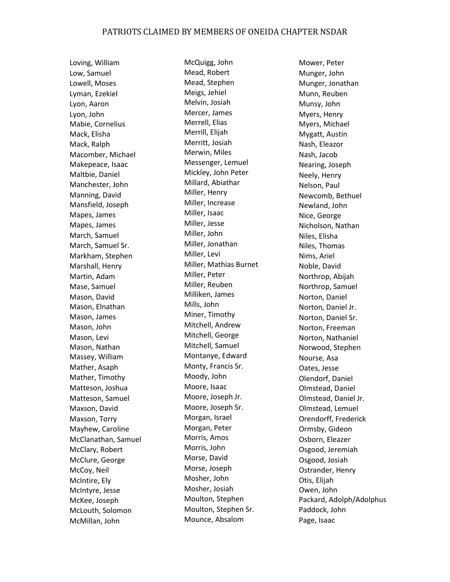Loving, William Low, Samuel Lowell, Moses Lyman, Ezekiel Lyon, Aaron Lyon, John Mabie, Cornelius Mack, Elisha Mack, Ralph Macomber, Michael Makepeace, Isaac Maltbie, Daniel Manchester, John Manning, David Mansfield, Joseph Mapes, James Mapes, James March, Samuel March, Samuel Sr. Markham, Stephen Marshall, Henry Martin, Adam Mase, Samuel Mason, David Mason, Elnathan Mason, James Mason, John Mason, Levi Mason, Nathan Massey, William Mather, Asaph Mather, Timothy Matteson, Joshua Matteson, Samuel Maxson, David Maxson, Torry Mayhew, Caroline McClanathan, Samuel McClary, Robert McClure, George McCoy, Neil McIntire, Ely McIntyre, Jesse McKee, Joseph McLouth, Solomon McMillan, John

McQuigg, John Mead, Robert Mead, Stephen Meigs, Jehiel Melvin, Josiah Mercer, James Merrell, Elias Merrill, Elijah Merritt, Josiah Merwin, Miles Messenger, Lemuel Mickley, John Peter Millard, Abiathar Miller, Henry Miller, Increase Miller, Isaac Miller, Jesse Miller, John Miller, Jonathan Miller, Levi Miller, Mathias Burnet Miller, Peter Miller, Reuben Milliken, James Mills, John Miner, Timothy Mitchell, Andrew Mitchell, George Mitchell, Samuel Montanye, Edward Monty, Francis Sr. Moody, John Moore, Isaac Moore, Joseph Jr. Moore, Joseph Sr. Morgan, Israel Morgan, Peter Morris, Amos Morris, John Morse, David Morse, Joseph Mosher, John Mosher, Josiah Moulton, Stephen Moulton, Stephen Sr. Mounce, Absalom

Mower, Peter Munger, John Munger, Jonathan Munn, Reuben Munsy, John Myers, Henry Myers, Michael Mygatt, Austin Nash, Eleazor Nash, Jacob Nearing, Joseph Neely, Henry Nelson, Paul Newcomb, Bethuel Newland, John Nice, George Nicholson, Nathan Niles, Elisha Niles, Thomas Nims, Ariel Noble, David Northrop, Abijah Northrop, Samuel Norton, Daniel Norton, Daniel Jr. Norton, Daniel Sr. Norton, Freeman Norton, Nathaniel Norwood, Stephen Nourse, Asa Oates, Jesse Olendorf, Daniel Olmstead, Daniel Olmstead, Daniel Jr. Olmstead, Lemuel Orendorff, Frederick Ormsby, Gideon Osborn, Eleazer Osgood, Jeremiah Osgood, Josiah Ostrander, Henry Otis, Elijah Owen, John Packard, Adolph/Adolphus Paddock, John Page, Isaac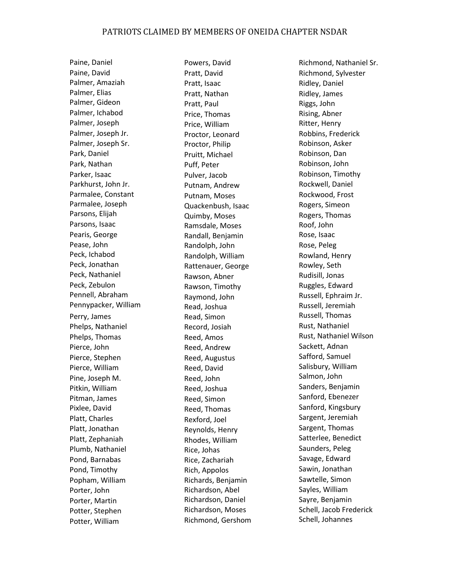Paine, Daniel Paine, David Palmer, Amaziah Palmer, Elias Palmer, Gideon Palmer, Ichabod Palmer, Joseph Palmer, Joseph Jr. Palmer, Joseph Sr. Park, Daniel Park, Nathan Parker, Isaac Parkhurst, John Jr. Parmalee, Constant Parmalee, Joseph Parsons, Elijah Parsons, Isaac Pearis, George Pease, John Peck, Ichabod Peck, Jonathan Peck, Nathaniel Peck, Zebulon Pennell, Abraham Pennypacker, William Perry, James Phelps, Nathaniel Phelps, Thomas Pierce, John Pierce, Stephen Pierce, William Pine, Joseph M. Pitkin, William Pitman, James Pixlee, David Platt, Charles Platt, Jonathan Platt, Zephaniah Plumb, Nathaniel Pond, Barnabas Pond, Timothy Popham, William Porter, John Porter, Martin Potter, Stephen Potter, William

Powers, David Pratt, David Pratt, Isaac Pratt, Nathan Pratt, Paul Price, Thomas Price, William Proctor, Leonard Proctor, Philip Pruitt, Michael Puff, Peter Pulver, Jacob Putnam, Andrew Putnam, Moses Quackenbush, Isaac Quimby, Moses Ramsdale, Moses Randall, Benjamin Randolph, John Randolph, William Rattenauer, George Rawson, Abner Rawson, Timothy Raymond, John Read, Joshua Read, Simon Record, Josiah Reed, Amos Reed, Andrew Reed, Augustus Reed, David Reed, John Reed, Joshua Reed, Simon Reed, Thomas Rexford, Joel Reynolds, Henry Rhodes, William Rice, Johas Rice, Zachariah Rich, Appolos Richards, Benjamin Richardson, Abel Richardson, Daniel Richardson, Moses Richmond, Gershom

Richmond, Nathaniel Sr. Richmond, Sylvester Ridley, Daniel Ridley, James Riggs, John Rising, Abner Ritter, Henry Robbins, Frederick Robinson, Asker Robinson, Dan Robinson, John Robinson, Timothy Rockwell, Daniel Rockwood, Frost Rogers, Simeon Rogers, Thomas Roof, John Rose, Isaac Rose, Peleg Rowland, Henry Rowley, Seth Rudisill, Jonas Ruggles, Edward Russell, Ephraim Jr. Russell, Jeremiah Russell, Thomas Rust, Nathaniel Rust, Nathaniel Wilson Sackett, Adnan Safford, Samuel Salisbury, William Salmon, John Sanders, Benjamin Sanford, Ebenezer Sanford, Kingsbury Sargent, Jeremiah Sargent, Thomas Satterlee, Benedict Saunders, Peleg Savage, Edward Sawin, Jonathan Sawtelle, Simon Sayles, William Sayre, Benjamin Schell, Jacob Frederick Schell, Johannes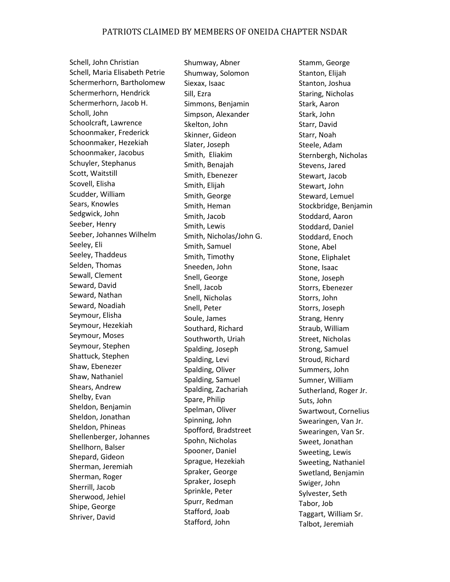Schell, John Christian Schell, Maria Elisabeth Petrie Schermerhorn, Bartholomew Schermerhorn, Hendrick Schermerhorn, Jacob H. Scholl, John Schoolcraft, Lawrence Schoonmaker, Frederick Schoonmaker, Hezekiah Schoonmaker, Jacobus Schuyler, Stephanus Scott, Waitstill Scovell, Elisha Scudder, William Sears, Knowles Sedgwick, John Seeber, Henry Seeber, Johannes Wilhelm Seeley, Eli Seeley, Thaddeus Selden, Thomas Sewall, Clement Seward, David Seward, Nathan Seward, Noadiah Seymour, Elisha Seymour, Hezekiah Seymour, Moses Seymour, Stephen Shattuck, Stephen Shaw, Ebenezer Shaw, Nathaniel Shears, Andrew Shelby, Evan Sheldon, Benjamin Sheldon, Jonathan Sheldon, Phineas Shellenberger, Johannes Shellhorn, Balser Shepard, Gideon Sherman, Jeremiah Sherman, Roger Sherrill, Jacob Sherwood, Jehiel Shipe, George Shriver, David

Shumway, Abner Shumway, Solomon Siexax, Isaac Sill, Ezra Simmons, Benjamin Simpson, Alexander Skelton, John Skinner, Gideon Slater, Joseph Smith, Eliakim Smith, Benajah Smith, Ebenezer Smith, Elijah Smith, George Smith, Heman Smith, Jacob Smith, Lewis Smith, Nicholas/John G. Smith, Samuel Smith, Timothy Sneeden, John Snell, George Snell, Jacob Snell, Nicholas Snell, Peter Soule, James Southard, Richard Southworth, Uriah Spalding, Joseph Spalding, Levi Spalding, Oliver Spalding, Samuel Spalding, Zachariah Spare, Philip Spelman, Oliver Spinning, John Spofford, Bradstreet Spohn, Nicholas Spooner, Daniel Sprague, Hezekiah Spraker, George Spraker, Joseph Sprinkle, Peter Spurr, Redman Stafford, Joab Stafford, John

Stamm, George Stanton, Elijah Stanton, Joshua Staring, Nicholas Stark, Aaron Stark, John Starr, David Starr, Noah Steele, Adam Sternbergh, Nicholas Stevens, Jared Stewart, Jacob Stewart, John Steward, Lemuel Stockbridge, Benjamin Stoddard, Aaron Stoddard, Daniel Stoddard, Enoch Stone, Abel Stone, Eliphalet Stone, Isaac Stone, Joseph Storrs, Ebenezer Storrs, John Storrs, Joseph Strang, Henry Straub, William Street, Nicholas Strong, Samuel Stroud, Richard Summers, John Sumner, William Sutherland, Roger Jr. Suts, John Swartwout, Cornelius Swearingen, Van Jr. Swearingen, Van Sr. Sweet, Jonathan Sweeting, Lewis Sweeting, Nathaniel Swetland, Benjamin Swiger, John Sylvester, Seth Tabor, Job Taggart, William Sr. Talbot, Jeremiah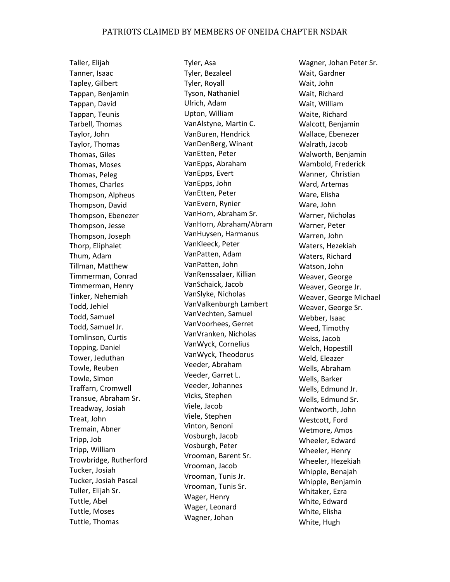Taller, Elijah Tanner, Isaac Tapley, Gilbert Tappan, Benjamin Tappan, David Tappan, Teunis Tarbell, Thomas Taylor, John Taylor, Thomas Thomas, Giles Thomas, Moses Thomas, Peleg Thomes, Charles Thompson, Alpheus Thompson, David Thompson, Ebenezer Thompson, Jesse Thompson, Joseph Thorp, Eliphalet Thum, Adam Tillman, Matthew Timmerman, Conrad Timmerman, Henry Tinker, Nehemiah Todd, Jehiel Todd, Samuel Todd, Samuel Jr. Tomlinson, Curtis Topping, Daniel Tower, Jeduthan Towle, Reuben Towle, Simon Traffarn, Cromwell Transue, Abraham Sr. Treadway, Josiah Treat, John Tremain, Abner Tripp, Job Tripp, William Trowbridge, Rutherford Tucker, Josiah Tucker, Josiah Pascal Tuller, Elijah Sr. Tuttle, Abel Tuttle, Moses Tuttle, Thomas

Tyler, Asa Tyler, Bezaleel Tyler, Royall Tyson, Nathaniel Ulrich, Adam Upton, William VanAlstyne, Martin C. VanBuren, Hendrick VanDenBerg, Winant VanEtten, Peter VanEpps, Abraham VanEpps, Evert VanEpps, John VanEtten, Peter VanEvern, Rynier VanHorn, Abraham Sr. VanHorn, Abraham/Abram VanHuysen, Harmanus VanKleeck, Peter VanPatten, Adam VanPatten, John VanRenssalaer, Killian VanSchaick, Jacob VanSlyke, Nicholas VanValkenburgh Lambert VanVechten, Samuel VanVoorhees, Gerret VanVranken, Nicholas VanWyck, Cornelius VanWyck, Theodorus Veeder, Abraham Veeder, Garret L. Veeder, Johannes Vicks, Stephen Viele, Jacob Viele, Stephen Vinton, Benoni Vosburgh, Jacob Vosburgh, Peter Vrooman, Barent Sr. Vrooman, Jacob Vrooman, Tunis Jr. Vrooman, Tunis Sr. Wager, Henry Wager, Leonard Wagner, Johan

Wagner, Johan Peter Sr. Wait, Gardner Wait, John Wait, Richard Wait, William Waite, Richard Walcott, Benjamin Wallace, Ebenezer Walrath, Jacob Walworth, Benjamin Wambold, Frederick Wanner, Christian Ward, Artemas Ware, Elisha Ware, John Warner, Nicholas Warner, Peter Warren, John Waters, Hezekiah Waters, Richard Watson, John Weaver, George Weaver, George Jr. Weaver, George Michael Weaver, George Sr. Webber, Isaac Weed, Timothy Weiss, Jacob Welch, Hopestill Weld, Eleazer Wells, Abraham Wells, Barker Wells, Edmund Jr. Wells, Edmund Sr. Wentworth, John Westcott, Ford Wetmore, Amos Wheeler, Edward Wheeler, Henry Wheeler, Hezekiah Whipple, Benajah Whipple, Benjamin Whitaker, Ezra White, Edward White, Elisha White, Hugh